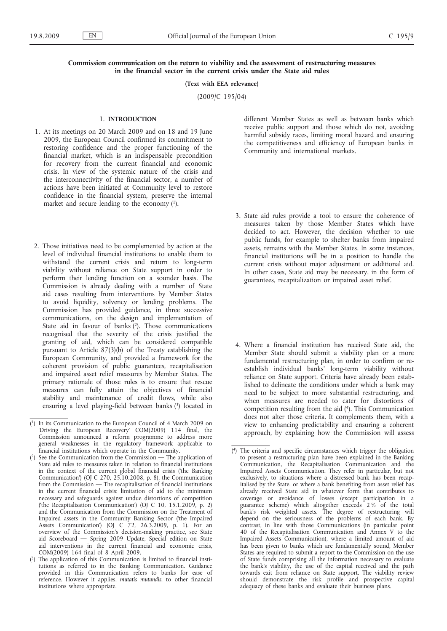### **Commission communication on the return to viability and the assessment of restructuring measures in the financial sector in the current crisis under the State aid rules**

**(Text with EEA relevance)**

(2009/C 195/04)

#### 1. **INTRODUCTION**

- 1. At its meetings on 20 March 2009 and on 18 and 19 June 2009, the European Council confirmed its commitment to restoring confidence and the proper functioning of the financial market, which is an indispensable precondition for recovery from the current financial and economic crisis. In view of the systemic nature of the crisis and the interconnectivity of the financial sector, a number of actions have been initiated at Community level to restore confidence in the financial system, preserve the internal market and secure lending to the economy  $(1)$ .
- 2. Those initiatives need to be complemented by action at the level of individual financial institutions to enable them to withstand the current crisis and return to long-term viability without reliance on State support in order to perform their lending function on a sounder basis. The Commission is already dealing with a number of State aid cases resulting from interventions by Member States to avoid liquidity, solvency or lending problems. The Commission has provided guidance, in three successive communications, on the design and implementation of State aid in favour of banks  $(2)$ . Those communications recognised that the severity of the crisis justified the granting of aid, which can be considered compatible pursuant to Article 87(3)(b) of the Treaty establishing the European Community, and provided a framework for the coherent provision of public guarantees, recapitalisation and impaired asset relief measures by Member States. The primary rationale of those rules is to ensure that rescue measures can fully attain the objectives of financial stability and maintenance of credit flows, while also ensuring a level playing-field between banks (3) located in

different Member States as well as between banks which receive public support and those which do not, avoiding harmful subsidy races, limiting moral hazard and ensuring the competitiveness and efficiency of European banks in Community and international markets.

- 3. State aid rules provide a tool to ensure the coherence of measures taken by those Member States which have decided to act. However, the decision whether to use public funds, for example to shelter banks from impaired assets, remains with the Member States. In some instances, financial institutions will be in a position to handle the current crisis without major adjustment or additional aid. In other cases, State aid may be necessary, in the form of guarantees, recapitalization or impaired asset relief.
- 4. Where a financial institution has received State aid, the Member State should submit a viability plan or a more fundamental restructuring plan, in order to confirm or reestablish individual banks' long-term viability without reliance on State support. Criteria have already been established to delineate the conditions under which a bank may need to be subject to more substantial restructuring, and when measures are needed to cater for distortions of competition resulting from the aid (4). This Communication does not alter those criteria. It complements them, with a view to enhancing predictability and ensuring a coherent approach, by explaining how the Commission will assess

<sup>(</sup> 1) In its Communication to the European Council of 4 March 2009 on 'Driving the European Recovery' COM(2009) 114 final, the Commission announced a reform programme to address more general weaknesses in the regulatory framework applicable to financial institutions which operate in the Community.

<sup>(</sup> 2) See the Communication from the Commission — The application of State aid rules to measures taken in relation to financial institutions in the context of the current global financial crisis ('the Banking Communication') (OJ C 270, 25.10.2008, p. 8), the Communication from the Commission — The recapitalisation of financial institutions in the current financial crisis: limitation of aid to the minimum necessary and safeguards against undue distortions of competition ('the Recapitalisation Communication') (OJ C 10, 15.1.2009, p. 2) and the Communication from the Commission on the Treatment of Impaired assets in the Community Banking Sector ('the Impaired Assets Communication') (OJ C 72, 26.3.2009, p. 1). For an overview of the Commission's decision-making practice, see State aid Scoreboard — Spring 2009 Update, Special edition on State aid interventions in the current financial and economic crisis, COM(2009) 164 final of 8 April 2009.

<sup>(</sup> 3) The application of this Communication is limited to financial institutions as referred to in the Banking Communication. Guidance provided in this Communication refers to banks for ease of reference. However it applies, *mutatis mutandis*, to other financial institutions where appropriate.

<sup>(</sup> 4) The criteria and specific circumstances which trigger the obligation to present a restructuring plan have been explained in the Banking Communication, the Recapitalisation Communication and the Impaired Assets Communication. They refer in particular, but not exclusively, to situations where a distressed bank has been recapitalised by the State, or where a bank benefiting from asset relief has already received State aid in whatever form that contributes to coverage or avoidance of losses (except participation in a guarantee scheme) which altogether exceeds 2 % of the total bank's risk weighted assets. The degree of restructuring will depend on the seriousness of the problems of each bank. By contrast, in line with those Communications (in particular point 40 of the Recapitalisation Communication and Annex V to the Impaired Assets Communication), where a limited amount of aid has been given to banks which are fundamentally sound, Member States are required to submit a report to the Commission on the use of State funds comprising all the information necessary to evaluate the bank's viability, the use of the capital received and the path towards exit from reliance on State support. The viability review should demonstrate the risk profile and prospective capital adequacy of these banks and evaluate their business plans.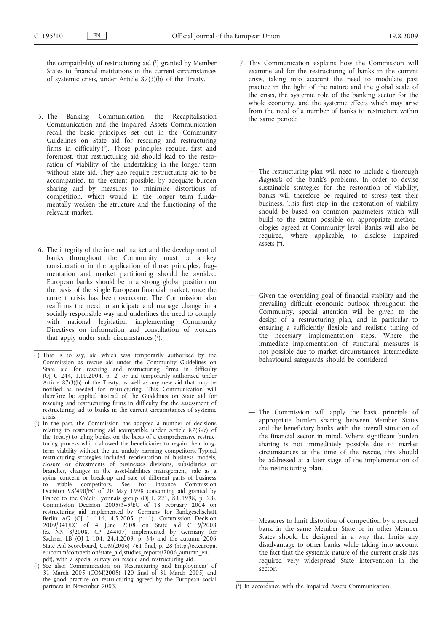the compatibility of restructuring aid (1) granted by Member States to financial institutions in the current circumstances of systemic crisis, under Article 87(3)(b) of the Treaty.

- 5. The Banking Communication, the Recapitalisation Communication and the Impaired Assets Communication recall the basic principles set out in the Community Guidelines on State aid for rescuing and restructuring firms in difficulty (2). Those principles require, first and foremost, that restructuring aid should lead to the restoration of viability of the undertaking in the longer term without State aid. They also require restructuring aid to be accompanied, to the extent possible, by adequate burden sharing and by measures to minimise distortions of competition, which would in the longer term fundamentally weaken the structure and the functioning of the relevant market.
- 6. The integrity of the internal market and the development of banks throughout the Community must be a key consideration in the application of those principles; fragmentation and market partitioning should be avoided. European banks should be in a strong global position on the basis of the single European financial market, once the current crisis has been overcome. The Commission also reaffirms the need to anticipate and manage change in a socially responsible way and underlines the need to comply with national legislation implementing Community Directives on information and consultation of workers that apply under such circumstances  $(3)$ .
- ( 1) That is to say, aid which was temporarily authorised by the Commission as rescue aid under the Community Guidelines on State aid for rescuing and restructuring firms in difficulty (OJ C 244, 1.10.2004, p. 2) or aid temporarily authorised under Article 87(3)(b) of the Treaty, as well as any new aid that may be notified as needed for restructuring. This Communication will therefore be applied instead of the Guidelines on State aid for rescuing and restructuring firms in difficulty for the assessment of restructuring aid to banks in the current circumstances of systemic crisis.
- ( 2) In the past, the Commission has adopted a number of decisions relating to restructuring aid (compatible under Article 87(3)(c) of the Treaty) to ailing banks, on the basis of a comprehensive restructuring process which allowed the beneficiaries to regain their longterm viability without the aid unduly harming competitors. Typical restructuring strategies included reorientation of business models, closure or divestments of businesses divisions, subsidiaries or branches, changes in the asset-liabilities management, sale as a going concern or break-up and sale of different parts of business<br>to viable competitors. See for instance Commission to viable competitors. See for instance Commission Decision 98/490/EC of 20 May 1998 concerning aid granted by France to the Crédit Lyonnais group (OJ L 221, 8.8.1998, p. 28), Commission Decision 2005/345/EC of 18 February 2004 on restructuring aid implemented by Germany for Bankgesellschaft Berlin AG (OJ L 116, 4.5.2005, p. 1), Commission Decision 2009/341/EC of 4 June 2008 on State aid C 9/2008 (ex NN 8/2008, CP 244/07) implemented by Germany for Sachsen LB (OJ L 104, 24.4.2009, p. 34) and the autumn 2006 State Aid Scoreboard, COM(2006) 761 final, p. 28 (http://ec.europa. eu/comm/competition/state\_aid/studies\_reports/2006\_autumn\_en. pdf), with a special survey on rescue and restructuring aid.
- ( 3) See also: Communication on 'Restructuring and Employment' of 31 March 2005 (COM(2005) 120 final of 31 March 2005) and the good practice on restructuring agreed by the European social partners in November 2003.
- 7. This Communication explains how the Commission will examine aid for the restructuring of banks in the current crisis, taking into account the need to modulate past practice in the light of the nature and the global scale of the crisis, the systemic role of the banking sector for the whole economy, and the systemic effects which may arise from the need of a number of banks to restructure within the same period:
	- The restructuring plan will need to include a thorough *diagnosis* of the bank's problems. In order to devise sustainable strategies for the restoration of viability, banks will therefore be required to stress test their business. This first step in the restoration of viability should be based on common parameters which will build to the extent possible on appropriate methodologies agreed at Community level. Banks will also be required, where applicable, to disclose impaired assets  $(4)$ .
	- Given the overriding goal of financial stability and the prevailing difficult economic outlook throughout the Community, special attention will be given to the design of a restructuring plan, and in particular to ensuring a sufficiently flexible and realistic timing of the necessary implementation steps. Where the immediate implementation of structural measures is not possible due to market circumstances, intermediate behavioural safeguards should be considered.
	- The Commission will apply the basic principle of appropriate burden sharing between Member States and the beneficiary banks with the overall situation of the financial sector in mind. Where significant burden sharing is not immediately possible due to market circumstances at the time of the rescue, this should be addressed at a later stage of the implementation of the restructuring plan.
	- Measures to limit distortion of competition by a rescued bank in the same Member State or in other Member States should be designed in a way that limits any disadvantage to other banks while taking into account the fact that the systemic nature of the current crisis has required very widespread State intervention in the sector.

 $(4)$  In accordance with the Impaired Assets Communication.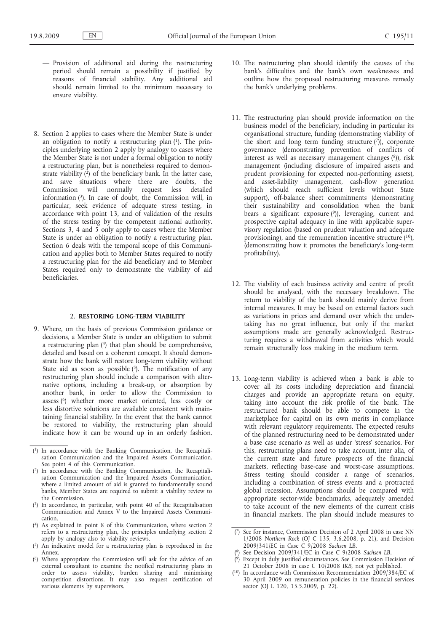- Provision of additional aid during the restructuring period should remain a possibility if justified by reasons of financial stability. Any additional aid should remain limited to the minimum necessary to ensure viability.
- 8. Section 2 applies to cases where the Member State is under an obligation to notify a restructuring plan (1). The principles underlying section 2 apply by analogy to cases where the Member State is not under a formal obligation to notify a restructuring plan, but is nonetheless required to demonstrate viability  $(\overline{2})$  of the beneficiary bank. In the latter case, and save situations where there are doubts, the Commission will normally request less detailed information (3). In case of doubt, the Commission will, in particular, seek evidence of adequate stress testing, in accordance with point 13, and of validation of the results of the stress testing by the competent national authority. Sections 3, 4 and 5 only apply to cases where the Member State is under an obligation to notify a restructuring plan. Section 6 deals with the temporal scope of this Communication and applies both to Member States required to notify a restructuring plan for the aid beneficiary and to Member States required only to demonstrate the viability of aid beneficiaries.

### 2. **RESTORING LONG-TERM VIABILITY**

9. Where, on the basis of previous Commission guidance or decisions, a Member State is under an obligation to submit a restructuring plan (4) that plan should be comprehensive, detailed and based on a coherent concept. It should demonstrate how the bank will restore long-term viability without State aid as soon as possible  $(5)$ . The notification of any restructuring plan should include a comparison with alternative options, including a break-up, or absorption by another bank, in order to allow the Commission to assess (6) whether more market oriented, less costly or less distortive solutions are available consistent with maintaining financial stability. In the event that the bank cannot be restored to viability, the restructuring plan should indicate how it can be wound up in an orderly fashion.

- ( 3) In accordance, in particular, with point 40 of the Recapitalisation Communication and Annex V to the Impaired Assets Communication.
- ( 4) As explained in point 8 of this Communication, where section 2 refers to a restructuring plan, the principles underlying section 2 apply by analogy also to viability reviews.
- ( 5) An indicative model for a restructuring plan is reproduced in the Annex.
- ( 6) Where appropriate the Commission will ask for the advice of an external consultant to examine the notified restructuring plans in order to assess viability, burden sharing and minimising competition distortions. It may also request certification of various elements by supervisors.
- 10. The restructuring plan should identify the causes of the bank's difficulties and the bank's own weaknesses and outline how the proposed restructuring measures remedy the bank's underlying problems.
- 11. The restructuring plan should provide information on the business model of the beneficiary, including in particular its organisational structure, funding (demonstrating viability of the short and long term funding structure  $(7)$ ), corporate governance (demonstrating prevention of conflicts of interest as well as necessary management changes (8)), risk management (including disclosure of impaired assets and prudent provisioning for expected non-performing assets), and asset-liability management, cash-flow generation (which should reach sufficient levels without State support), off-balance sheet commitments (demonstrating their sustainability and consolidation when the bank bears a significant exposure (9)), leveraging, current and prospective capital adequacy in line with applicable supervisory regulation (based on prudent valuation and adequate provisioning), and the remuneration incentive structure (10), (demonstrating how it promotes the beneficiary's long-term profitability).
- 12. The viability of each business activity and centre of profit should be analysed, with the necessary breakdown. The return to viability of the bank should mainly derive from internal measures. It may be based on external factors such as variations in prices and demand over which the undertaking has no great influence, but only if the market assumptions made are generally acknowledged. Restructuring requires a withdrawal from activities which would remain structurally loss making in the medium term.
- 13. Long-term viability is achieved when a bank is able to cover all its costs including depreciation and financial charges and provide an appropriate return on equity, taking into account the risk profile of the bank. The restructured bank should be able to compete in the marketplace for capital on its own merits in compliance with relevant regulatory requirements. The expected results of the planned restructuring need to be demonstrated under a base case scenario as well as under 'stress' scenarios. For this, restructuring plans need to take account, inter alia, of the current state and future prospects of the financial markets, reflecting base-case and worst-case assumptions. Stress testing should consider a range of scenarios, including a combination of stress events and a protracted global recession. Assumptions should be compared with appropriate sector-wide benchmarks, adequately amended to take account of the new elements of the current crisis in financial markets. The plan should include measures to

- ( 8) See Decision 2009/341/EC in Case C 9/2008 *Sachsen LB*.
- ( 9) Except in duly justified circumstances. See Commission Decision of 21 October 2008 in case C 10/2008 *IKB*, not yet published.
- $(10)$ In accordance with Commission Recommendation 2009/384/EC of 30 April 2009 on remuneration policies in the financial services sector (OJ L 120, 15.5.2009, p. 22).

<sup>(</sup> 1) In accordance with the Banking Communication, the Recapitalisation Communication and the Impaired Assets Communication. See point 4 of this Communication.

<sup>(</sup> 2) In accordance with the Banking Communication, the Recapitalisation Communication and the Impaired Assets Communication, where a limited amount of aid is granted to fundamentally sound banks, Member States are required to submit a viability review to the Commission.

<sup>(</sup> 7) See for instance, Commission Decision of 2 April 2008 in case NN 1/2008 *Northern Rock* (OJ C 135, 3.6.2008, p. 21), and Decision 2009/341/EC in Case C 9/2008 *Sachsen LB*.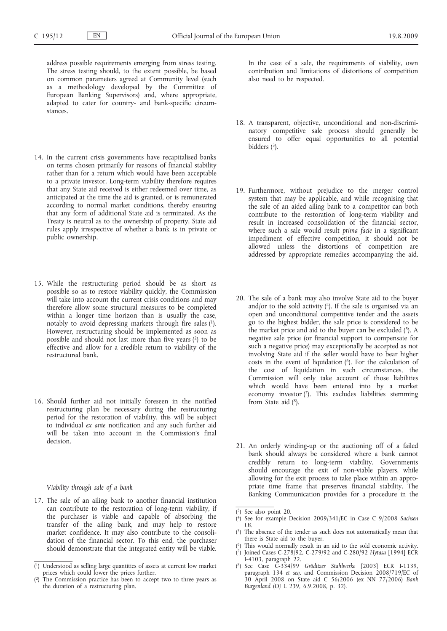address possible requirements emerging from stress testing. The stress testing should, to the extent possible, be based on common parameters agreed at Community level (such as a methodology developed by the Committee of European Banking Supervisors) and, where appropriate, adapted to cater for country- and bank-specific circumstances.

- 14. In the current crisis governments have recapitalised banks on terms chosen primarily for reasons of financial stability rather than for a return which would have been acceptable to a private investor. Long-term viability therefore requires that any State aid received is either redeemed over time, as anticipated at the time the aid is granted, or is remunerated according to normal market conditions, thereby ensuring that any form of additional State aid is terminated. As the Treaty is neutral as to the ownership of property, State aid rules apply irrespective of whether a bank is in private or public ownership.
- 15. While the restructuring period should be as short as possible so as to restore viability quickly, the Commission will take into account the current crisis conditions and may therefore allow some structural measures to be completed within a longer time horizon than is usually the case, notably to avoid depressing markets through fire sales (1). However, restructuring should be implemented as soon as possible and should not last more than five years  $(2)$  to be effective and allow for a credible return to viability of the restructured bank.
- 16. Should further aid not initially foreseen in the notified restructuring plan be necessary during the restructuring period for the restoration of viability, this will be subject to individual *ex ante* notification and any such further aid will be taken into account in the Commission's final decision.

### *Viability through sale of a bank*

17. The sale of an ailing bank to another financial institution can contribute to the restoration of long-term viability, if the purchaser is viable and capable of absorbing the transfer of the ailing bank, and may help to restore market confidence. It may also contribute to the consolidation of the financial sector. To this end, the purchaser should demonstrate that the integrated entity will be viable. In the case of a sale, the requirements of viability, own contribution and limitations of distortions of competition also need to be respected.

- 18. A transparent, objective, unconditional and non-discriminatory competitive sale process should generally be ensured to offer equal opportunities to all potential bidders  $(3)$ .
- 19. Furthermore, without prejudice to the merger control system that may be applicable, and while recognising that the sale of an aided ailing bank to a competitor can both contribute to the restoration of long-term viability and result in increased consolidation of the financial sector, where such a sale would result *prima facie* in a significant impediment of effective competition, it should not be allowed unless the distortions of competition are addressed by appropriate remedies accompanying the aid.
- 20. The sale of a bank may also involve State aid to the buyer and/or to the sold activity  $(4)$ . If the sale is organised via an open and unconditional competitive tender and the assets go to the highest bidder, the sale price is considered to be the market price and aid to the buyer can be excluded (5). A negative sale price (or financial support to compensate for such a negative price) may exceptionally be accepted as not involving State aid if the seller would have to bear higher costs in the event of liquidation (6). For the calculation of the cost of liquidation in such circumstances, the Commission will only take account of those liabilities which would have been entered into by a market economy investor  $(7)$ . This excludes liabilities stemming from State aid (8).
- 21. An orderly winding-up or the auctioning off of a failed bank should always be considered where a bank cannot credibly return to long-term viability. Governments should encourage the exit of non-viable players, while allowing for the exit process to take place within an appropriate time frame that preserves financial stability. The Banking Communication provides for a procedure in the

- ( 4) See for example Decision 2009/341/EC in Case C 9/2008 *Sachsen LB*.
- ( 5) The absence of the tender as such does not automatically mean that there is State aid to the buyer.
- ( 6) This would normally result in an aid to the sold economic activity.
- ( 7) Joined Cases C-278/92, C-279/92 and C-280/92 *Hytasa* [1994] ECR I-4103, paragraph 22.
- ( 8) See Case C-334/99 *Gröditzer Stahlwerke* [2003] ECR I-1139, paragraph 134 *et seq*. and Commission Decision 2008/719/EC of 30 April 2008 on State aid C 56/2006 (ex NN 77/2006) *Bank Burgenland* (OJ L 239, 6.9.2008, p. 32).

<sup>(</sup> 1) Understood as selling large quantities of assets at current low market prices which could lower the prices further.

<sup>(</sup> 2) The Commission practice has been to accept two to three years as the duration of a restructuring plan.

<sup>(</sup> 3) See also point 20.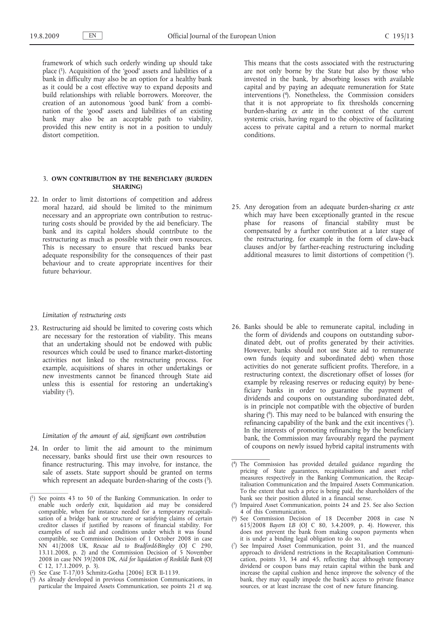framework of which such orderly winding up should take place (1). Acquisition of the 'good' assets and liabilities of a bank in difficulty may also be an option for a healthy bank as it could be a cost effective way to expand deposits and build relationships with reliable borrowers. Moreover, the creation of an autonomous 'good bank' from a combination of the 'good' assets and liabilities of an existing bank may also be an acceptable path to viability, provided this new entity is not in a position to unduly distort competition.

### 3. **OWN CONTRIBUTION BY THE BENEFICIARY (BURDEN SHARING)**

22. In order to limit distortions of competition and address moral hazard, aid should be limited to the minimum necessary and an appropriate own contribution to restructuring costs should be provided by the aid beneficiary. The bank and its capital holders should contribute to the restructuring as much as possible with their own resources. This is necessary to ensure that rescued banks bear adequate responsibility for the consequences of their past behaviour and to create appropriate incentives for their future behaviour.

#### *Limitation of restructuring costs*

23. Restructuring aid should be limited to covering costs which are necessary for the restoration of viability. This means that an undertaking should not be endowed with public resources which could be used to finance market-distorting activities not linked to the restructuring process. For example, acquisitions of shares in other undertakings or new investments cannot be financed through State aid unless this is essential for restoring an undertaking's viability (2).

#### *Limitation of the amount of aid, significant own contribution*

24. In order to limit the aid amount to the minimum necessary, banks should first use their own resources to finance restructuring. This may involve, for instance, the sale of assets. State support should be granted on terms which represent an adequate burden-sharing of the costs  $(3)$ .

This means that the costs associated with the restructuring are not only borne by the State but also by those who invested in the bank, by absorbing losses with available capital and by paying an adequate remuneration for State interventions (4). Nonetheless, the Commission considers that it is not appropriate to fix thresholds concerning burden-sharing *ex ante* in the context of the current systemic crisis, having regard to the objective of facilitating access to private capital and a return to normal market conditions.

25. Any derogation from an adequate burden-sharing *ex ante* which may have been exceptionally granted in the rescue phase for reasons of financial stability must be compensated by a further contribution at a later stage of the restructuring, for example in the form of claw-back clauses and/or by farther-reaching restructuring including additional measures to limit distortions of competition (5).

26. Banks should be able to remunerate capital, including in the form of dividends and coupons on outstanding subordinated debt, out of profits generated by their activities. However, banks should not use State aid to remunerate own funds (equity and subordinated debt) when those activities do not generate sufficient profits. Therefore, in a restructuring context, the discretionary offset of losses (for example by releasing reserves or reducing equity) by beneficiary banks in order to guarantee the payment of dividends and coupons on outstanding subordinated debt, is in principle not compatible with the objective of burden sharing (6). This may need to be balanced with ensuring the refinancing capability of the bank and the exit incentives (7). In the interests of promoting refinancing by the beneficiary bank, the Commission may favourably regard the payment of coupons on newly issued hybrid capital instruments with

- ( 5) Impaired Asset Communication, points 24 and 25. See also Section 4 of this Communication.
- ( 6) See Commission Decision of 18 December 2008 in case N 615/2008 *Bayern LB* (OJ C 80, 3.4.2009, p. 4). However, this does not prevent the bank from making coupon payments when it is under a binding legal obligation to do so.
- ( 7) See Impaired Asset Communication, point 31, and the nuanced approach to dividend restrictions in the Recapitalisation Communication, points 33, 34 and 45, reflecting that although temporary dividend or coupon bans may retain capital within the bank and increase the capital cushion and hence improve the solvency of the bank, they may equally impede the bank's access to private finance sources, or at least increase the cost of new future financing.

<sup>(</sup> 1) See points 43 to 50 of the Banking Communication. In order to enable such orderly exit, liquidation aid may be considered compatible, when for instance needed for a temporary recapitalisation of a bridge bank or structure or satisfying claims of certain creditor classes if justified by reasons of financial stability. For examples of such aid and conditions under which it was found compatible, see Commission Decision of 1 October 2008 in case NN 41/2008 UK, *Rescue aid to Bradford&Bingley* (OJ C 290, 13.11.2008, p. 2) and the Commission Decision of 5 November 2008 in case NN 39/2008 DK, *Aid for liquidation of Roskilde Bank* (OJ C 12, 17.1.2009, p. 3).

<sup>(</sup> 2) See Case T-17/03 Schmitz-Gotha [2006] ECR II-1139.

<sup>(</sup> 3) As already developed in previous Commission Communications, in particular the Impaired Assets Communication, see points 21 *et seq*.

<sup>(</sup> 4) The Commission has provided detailed guidance regarding the pricing of State guarantees, recapitalisations and asset relief measures respectively in the Banking Communication, the Recapitalisation Communication and the Impaired Assets Communication. To the extent that such a price is being paid, the shareholders of the bank see their position diluted in a financial sense.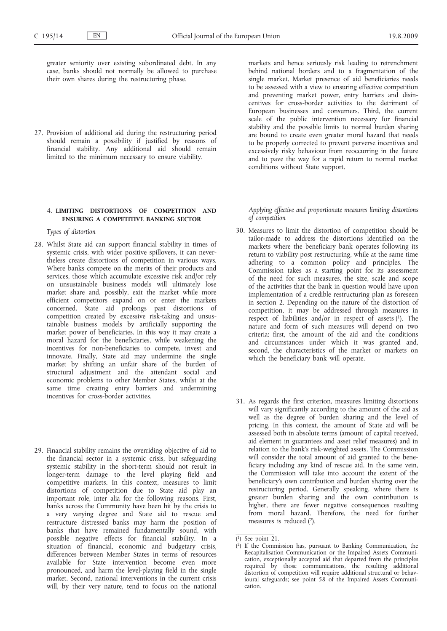greater seniority over existing subordinated debt. In any case, banks should not normally be allowed to purchase their own shares during the restructuring phase.

27. Provision of additional aid during the restructuring period should remain a possibility if justified by reasons of financial stability. Any additional aid should remain limited to the minimum necessary to ensure viability.

### 4. **LIMITING DISTORTIONS OF COMPETITION AND ENSURING A COMPETITIVE BANKING SECTOR**

#### *Types of distortion*

- 28. Whilst State aid can support financial stability in times of systemic crisis, with wider positive spillovers, it can nevertheless create distortions of competition in various ways. Where banks compete on the merits of their products and services, those which accumulate excessive risk and/or rely on unsustainable business models will ultimately lose market share and, possibly, exit the market while more efficient competitors expand on or enter the markets concerned. State aid prolongs past distortions of competition created by excessive risk-taking and unsustainable business models by artificially supporting the market power of beneficiaries. In this way it may create a moral hazard for the beneficiaries, while weakening the incentives for non-beneficiaries to compete, invest and innovate. Finally, State aid may undermine the single market by shifting an unfair share of the burden of structural adjustment and the attendant social and economic problems to other Member States, whilst at the same time creating entry barriers and undermining incentives for cross-border activities.
- 29. Financial stability remains the overriding objective of aid to the financial sector in a systemic crisis, but safeguarding systemic stability in the short-term should not result in longer-term damage to the level playing field and competitive markets. In this context, measures to limit distortions of competition due to State aid play an important role, inter alia for the following reasons. First, banks across the Community have been hit by the crisis to a very varying degree and State aid to rescue and restructure distressed banks may harm the position of banks that have remained fundamentally sound, with possible negative effects for financial stability. In a situation of financial, economic and budgetary crisis, differences between Member States in terms of resources available for State intervention become even more pronounced, and harm the level-playing field in the single market. Second, national interventions in the current crisis will, by their very nature, tend to focus on the national

markets and hence seriously risk leading to retrenchment behind national borders and to a fragmentation of the single market. Market presence of aid beneficiaries needs to be assessed with a view to ensuring effective competition and preventing market power, entry barriers and disincentives for cross-border activities to the detriment of European businesses and consumers. Third, the current scale of the public intervention necessary for financial stability and the possible limits to normal burden sharing are bound to create even greater moral hazard that needs to be properly corrected to prevent perverse incentives and excessively risky behaviour from reoccurring in the future and to pave the way for a rapid return to normal market conditions without State support.

*Applying effective and proportionate measures limiting distortions of competition*

- 30. Measures to limit the distortion of competition should be tailor-made to address the distortions identified on the markets where the beneficiary bank operates following its return to viability post restructuring, while at the same time adhering to a common policy and principles. The Commission takes as a starting point for its assessment of the need for such measures, the size, scale and scope of the activities that the bank in question would have upon implementation of a credible restructuring plan as foreseen in section 2. Depending on the nature of the distortion of competition, it may be addressed through measures in respect of liabilities and/or in respect of assets (1). The nature and form of such measures will depend on two criteria: first, the amount of the aid and the conditions and circumstances under which it was granted and, second, the characteristics of the market or markets on which the beneficiary bank will operate.
- 31. As regards the first criterion, measures limiting distortions will vary significantly according to the amount of the aid as well as the degree of burden sharing and the level of pricing. In this context, the amount of State aid will be assessed both in absolute terms (amount of capital received, aid element in guarantees and asset relief measures) and in relation to the bank's risk-weighted assets. The Commission will consider the total amount of aid granted to the beneficiary including any kind of rescue aid. In the same vein, the Commission will take into account the extent of the beneficiary's own contribution and burden sharing over the restructuring period. Generally speaking, where there is greater burden sharing and the own contribution is higher, there are fewer negative consequences resulting from moral hazard. Therefore, the need for further measures is reduced (2).

<sup>(</sup> See point 21.

<sup>(</sup> 2) If the Commission has, pursuant to Banking Communication, the Recapitalisation Communication or the Impaired Assets Communication, exceptionally accepted aid that departed from the principles required by those communications, the resulting additional distortion of competition will require additional structural or behavioural safeguards; see point 58 of the Impaired Assets Communication.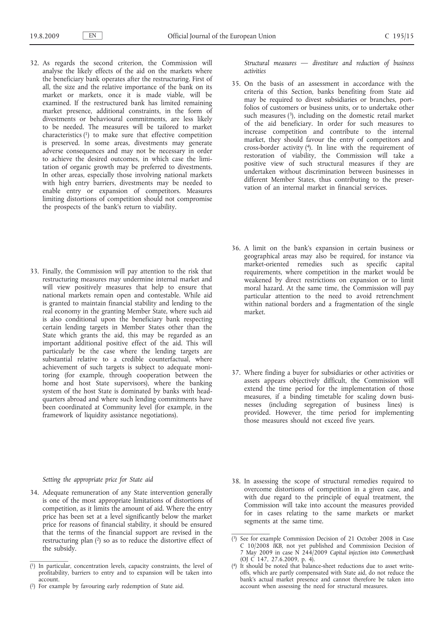- 32. As regards the second criterion, the Commission will analyse the likely effects of the aid on the markets where the beneficiary bank operates after the restructuring. First of all, the size and the relative importance of the bank on its market or markets, once it is made viable, will be examined. If the restructured bank has limited remaining market presence, additional constraints, in the form of divestments or behavioural commitments, are less likely to be needed. The measures will be tailored to market characteristics (1) to make sure that effective competition is preserved. In some areas, divestments may generate adverse consequences and may not be necessary in order to achieve the desired outcomes, in which case the limitation of organic growth may be preferred to divestments. In other areas, especially those involving national markets with high entry barriers, divestments may be needed to enable entry or expansion of competitors. Measures limiting distortions of competition should not compromise the prospects of the bank's return to viability.
- 33. Finally, the Commission will pay attention to the risk that restructuring measures may undermine internal market and will view positively measures that help to ensure that national markets remain open and contestable. While aid is granted to maintain financial stability and lending to the real economy in the granting Member State, where such aid is also conditional upon the beneficiary bank respecting certain lending targets in Member States other than the State which grants the aid, this may be regarded as an important additional positive effect of the aid. This will particularly be the case where the lending targets are substantial relative to a credible counterfactual, where achievement of such targets is subject to adequate monitoring (for example, through cooperation between the home and host State supervisors), where the banking system of the host State is dominated by banks with headquarters abroad and where such lending commitments have been coordinated at Community level (for example, in the framework of liquidity assistance negotiations).

*Structural measures — divestiture and reduction of business activities*

- 35. On the basis of an assessment in accordance with the criteria of this Section, banks benefiting from State aid may be required to divest subsidiaries or branches, portfolios of customers or business units, or to undertake other such measures (3), including on the domestic retail market of the aid beneficiary. In order for such measures to increase competition and contribute to the internal market, they should favour the entry of competitors and cross-border activity (4). In line with the requirement of restoration of viability, the Commission will take a positive view of such structural measures if they are undertaken without discrimination between businesses in different Member States, thus contributing to the preservation of an internal market in financial services.
- 36. A limit on the bank's expansion in certain business or geographical areas may also be required, for instance via market-oriented remedies such as specific capital requirements, where competition in the market would be weakened by direct restrictions on expansion or to limit moral hazard. At the same time, the Commission will pay particular attention to the need to avoid retrenchment within national borders and a fragmentation of the single market.
- 37. Where finding a buyer for subsidiaries or other activities or assets appears objectively difficult, the Commission will extend the time period for the implementation of those measures, if a binding timetable for scaling down businesses (including segregation of business lines) is provided. However, the time period for implementing those measures should not exceed five years.

*Setting the appropriate price for State aid*

34. Adequate remuneration of any State intervention generally is one of the most appropriate limitations of distortions of competition, as it limits the amount of aid. Where the entry price has been set at a level significantly below the market price for reasons of financial stability, it should be ensured that the terms of the financial support are revised in the restructuring plan (2) so as to reduce the distortive effect of the subsidy.

38. In assessing the scope of structural remedies required to overcome distortions of competition in a given case, and with due regard to the principle of equal treatment, the Commission will take into account the measures provided for in cases relating to the same markets or market segments at the same time.

<sup>(</sup> 1) In particular, concentration levels, capacity constraints, the level of profitability, barriers to entry and to expansion will be taken into account.

<sup>(</sup> 2) For example by favouring early redemption of State aid.

<sup>(</sup> 3) See for example Commission Decision of 21 October 2008 in Case C 10/2008 *IKB*, not yet published and Commission Decision of 7 May 2009 in case N 244/2009 *Capital injection into Commerzbank* (OJ C 147, 27.6.2009, p. 4).

<sup>(</sup> 4) It should be noted that balance-sheet reductions due to asset writeoffs, which are partly compensated with State aid, do not reduce the bank's actual market presence and cannot therefore be taken into account when assessing the need for structural measures.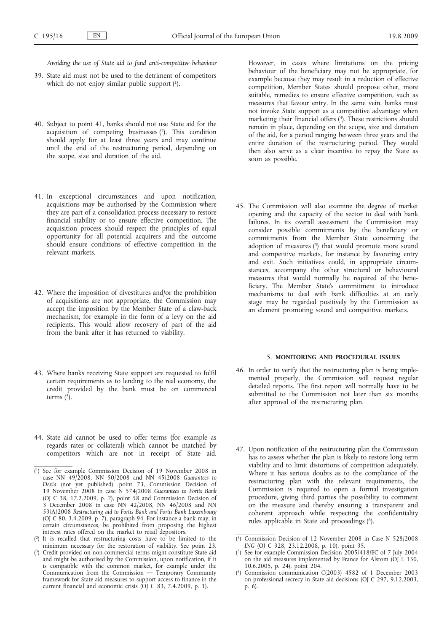*Avoiding the use of State aid to fund anti-competitive behaviour*

- 39. State aid must not be used to the detriment of competitors which do not enjoy similar public support  $(1)$ .
- 40. Subject to point 41, banks should not use State aid for the acquisition of competing businesses  $(2)$ . This condition should apply for at least three years and may continue until the end of the restructuring period, depending on the scope, size and duration of the aid.
- 41. In exceptional circumstances and upon notification, acquisitions may be authorised by the Commission where they are part of a consolidation process necessary to restore financial stability or to ensure effective competition. The acquisition process should respect the principles of equal opportunity for all potential acquirers and the outcome should ensure conditions of effective competition in the relevant markets.
- 42. Where the imposition of divestitures and/or the prohibition of acquisitions are not appropriate, the Commission may accept the imposition by the Member State of a claw-back mechanism, for example in the form of a levy on the aid recipients. This would allow recovery of part of the aid from the bank after it has returned to viability.
- 43. Where banks receiving State support are requested to fulfil certain requirements as to lending to the real economy, the credit provided by the bank must be on commercial terms  $(\overline{3})$ .
- 44. State aid cannot be used to offer terms (for example as regards rates or collateral) which cannot be matched by competitors which are not in receipt of State aid.

However, in cases where limitations on the pricing behaviour of the beneficiary may not be appropriate, for example because they may result in a reduction of effective competition, Member States should propose other, more suitable, remedies to ensure effective competition, such as measures that favour entry. In the same vein, banks must not invoke State support as a competitive advantage when marketing their financial offers (4). These restrictions should remain in place, depending on the scope, size and duration of the aid, for a period ranging between three years and the entire duration of the restructuring period. They would then also serve as a clear incentive to repay the State as soon as possible.

45. The Commission will also examine the degree of market opening and the capacity of the sector to deal with bank failures. In its overall assessment the Commission may consider possible commitments by the beneficiary or commitments from the Member State concerning the adoption of measures  $(5)$  that would promote more sound and competitive markets, for instance by favouring entry and exit. Such initiatives could, in appropriate circumstances, accompany the other structural or behavioural measures that would normally be required of the beneficiary. The Member State's commitment to introduce mechanisms to deal with bank difficulties at an early stage may be regarded positively by the Commission as an element promoting sound and competitive markets.

#### 5. **MONITORING AND PROCEDURAL ISSUES**

- 46. In order to verify that the restructuring plan is being implemented properly, the Commission will request regular detailed reports. The first report will normally have to be submitted to the Commission not later than six months after approval of the restructuring plan.
- 47. Upon notification of the restructuring plan the Commission has to assess whether the plan is likely to restore long term viability and to limit distortions of competition adequately. Where it has serious doubts as to the compliance of the restructuring plan with the relevant requirements, the Commission is required to open a formal investigation procedure, giving third parties the possibility to comment on the measure and thereby ensuring a transparent and coherent approach while respecting the confidentiality rules applicable in State aid proceedings (6).

<sup>(</sup> 1) See for example Commission Decision of 19 November 2008 in case NN 49/2008, NN 50/2008 and NN 45/2008 *Guarantees to Dexia* (not yet published), point 73, Commission Decision of 19 November 2008 in case N 574/2008 *Guarantees to Fortis Bank* (OJ C 38, 17.2.2009, p. 2), point 58 and Commission Decision of 3 December 2008 in case NN 42/2008, NN 46/2008 and NN 53/A/2008 *Restructuring aid to Fortis Bank and Fortis Bank Luxembourg* (OJ C 80, 3.4.2009, p. 7), paragraph 94. For instance a bank may, in certain circumstances, be prohibited from proposing the highest interest rates offered on the market to retail depositors.

<sup>(</sup> 2) It is recalled that restructuring costs have to be limited to the minimum necessary for the restoration of viability. See point 23. ( 3) Credit provided on non-commercial terms might constitute State aid and might be authorised by the Commission, upon notification, if it is compatible with the common market, for example under the Communication from the Commission — Temporary Community framework for State aid measures to support access to finance in the current financial and economic crisis  $\overrightarrow{O}$  C 83, 7.4.2009, p. 1).

<sup>(</sup> 4) Commission Decision of 12 November 2008 in Case N 528/2008 *ING* (OJ C 328, 23.12.2008, p. 10), point 35.

<sup>(</sup> 5) See for example Commission Decision 2005/418/EC of 7 July 2004 on the aid measures implemented by France for Alstom (OJ L 150, 10.6.2005, p. 24), point 204.

<sup>(</sup> 6) Commission communication C(2003) 4582 of 1 December 2003 on professional secrecy in State aid decisions (OJ C 297, 9.12.2003, p. 6).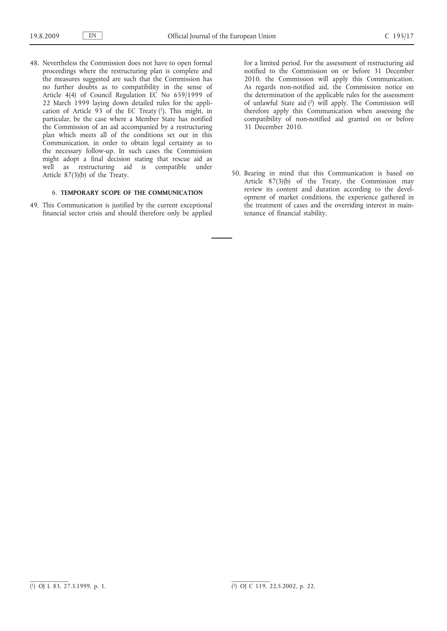48. Nevertheless the Commission does not have to open formal proceedings where the restructuring plan is complete and the measures suggested are such that the Commission has no further doubts as to compatibility in the sense of Article 4(4) of Council Regulation EC No 659/1999 of 22 March 1999 laying down detailed rules for the application of Article 93 of the EC Treaty  $(1)$ . This might, in particular, be the case where a Member State has notified the Commission of an aid accompanied by a restructuring plan which meets all of the conditions set out in this Communication, in order to obtain legal certainty as to the necessary follow-up. In such cases the Commission might adopt a final decision stating that rescue aid as well as restructuring aid is compatible under Article 87(3)(b) of the Treaty.

# 6. **TEMPORARY SCOPE OF THE COMMUNICATION**

49. This Communication is justified by the current exceptional financial sector crisis and should therefore only be applied

for a limited period. For the assessment of restructuring aid notified to the Commission on or before 31 December 2010, the Commission will apply this Communication. As regards non-notified aid, the Commission notice on the determination of the applicable rules for the assessment of unlawful State aid (2) will apply. The Commission will therefore apply this Communication when assessing the compatibility of non-notified aid granted on or before 31 December 2010.

50. Bearing in mind that this Communication is based on Article 87(3)(b) of the Treaty, the Commission may review its content and duration according to the development of market conditions, the experience gathered in the treatment of cases and the overriding interest in maintenance of financial stability.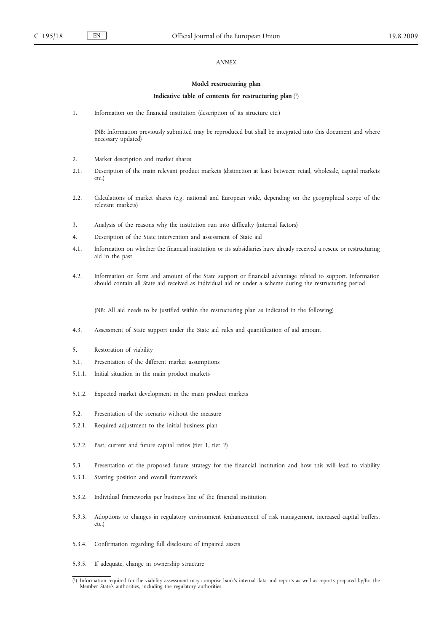## *ANNEX*

#### **Model restructuring plan**

### **Indicative table of contents for restructuring plan** (1)

1. Information on the financial institution (description of its structure etc.)

(NB: Information previously submitted may be reproduced but shall be integrated into this document and where necessary updated)

- 2. Market description and market shares
- 2.1. Description of the main relevant product markets (distinction at least between: retail, wholesale, capital markets etc.)
- 2.2. Calculations of market shares (e.g. national and European wide, depending on the geographical scope of the relevant markets)
- 3. Analysis of the reasons why the institution run into difficulty (internal factors)
- 4. Description of the State intervention and assessment of State aid
- 4.1. Information on whether the financial institution or its subsidiaries have already received a rescue or restructuring aid in the past
- 4.2. Information on form and amount of the State support or financial advantage related to support. Information should contain all State aid received as individual aid or under a scheme during the restructuring period

(NB: All aid needs to be justified within the restructuring plan as indicated in the following)

- 4.3. Assessment of State support under the State aid rules and quantification of aid amount
- 5. Restoration of viability
- 5.1. Presentation of the different market assumptions
- 5.1.1. Initial situation in the main product markets
- 5.1.2. Expected market development in the main product markets
- 5.2. Presentation of the scenario without the measure
- 5.2.1. Required adjustment to the initial business plan
- 5.2.2. Past, current and future capital ratios (tier 1, tier 2)
- 5.3. Presentation of the proposed future strategy for the financial institution and how this will lead to viability
- 5.3.1. Starting position and overall framework
- 5.3.2. Individual frameworks per business line of the financial institution
- 5.3.3. Adoptions to changes in regulatory environment (enhancement of risk management, increased capital buffers, etc.)
- 5.3.4. Confirmation regarding full disclosure of impaired assets
- 5.3.5. If adequate, change in ownership structure

<sup>(</sup> 1) Information required for the viability assessment may comprise bank's internal data and reports as well as reports prepared by/for the Member State's authorities, including the regulatory authorities.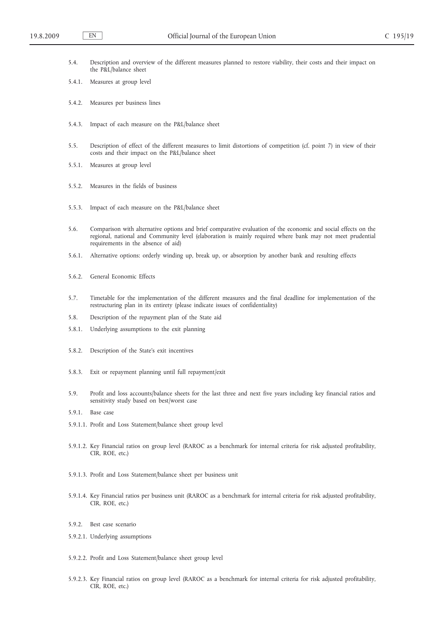- 5.4. Description and overview of the different measures planned to restore viability, their costs and their impact on the P&L/balance sheet
- 5.4.1. Measures at group level
- 5.4.2. Measures per business lines
- 5.4.3. Impact of each measure on the P&L/balance sheet
- 5.5. Description of effect of the different measures to limit distortions of competition (cf. point 7) in view of their costs and their impact on the P&L/balance sheet
- 5.5.1. Measures at group level
- 5.5.2. Measures in the fields of business
- 5.5.3. Impact of each measure on the P&L/balance sheet
- 5.6. Comparison with alternative options and brief comparative evaluation of the economic and social effects on the regional, national and Community level (elaboration is mainly required where bank may not meet prudential requirements in the absence of aid)
- 5.6.1. Alternative options: orderly winding up, break up, or absorption by another bank and resulting effects
- 5.6.2. General Economic Effects
- 5.7. Timetable for the implementation of the different measures and the final deadline for implementation of the restructuring plan in its entirety (please indicate issues of confidentiality)
- 5.8. Description of the repayment plan of the State aid
- 5.8.1. Underlying assumptions to the exit planning
- 5.8.2. Description of the State's exit incentives
- 5.8.3. Exit or repayment planning until full repayment/exit
- 5.9. Profit and loss accounts/balance sheets for the last three and next five years including key financial ratios and sensitivity study based on best/worst case
- 5.9.1. Base case
- 5.9.1.1. Profit and Loss Statement/balance sheet group level
- 5.9.1.2. Key Financial ratios on group level (RAROC as a benchmark for internal criteria for risk adjusted profitability, CIR, ROE, etc.)
- 5.9.1.3. Profit and Loss Statement/balance sheet per business unit
- 5.9.1.4. Key Financial ratios per business unit (RAROC as a benchmark for internal criteria for risk adjusted profitability, CIR, ROE, etc.)
- 5.9.2. Best case scenario
- 5.9.2.1. Underlying assumptions
- 5.9.2.2. Profit and Loss Statement/balance sheet group level
- 5.9.2.3. Key Financial ratios on group level (RAROC as a benchmark for internal criteria for risk adjusted profitability, CIR, ROE, etc.)